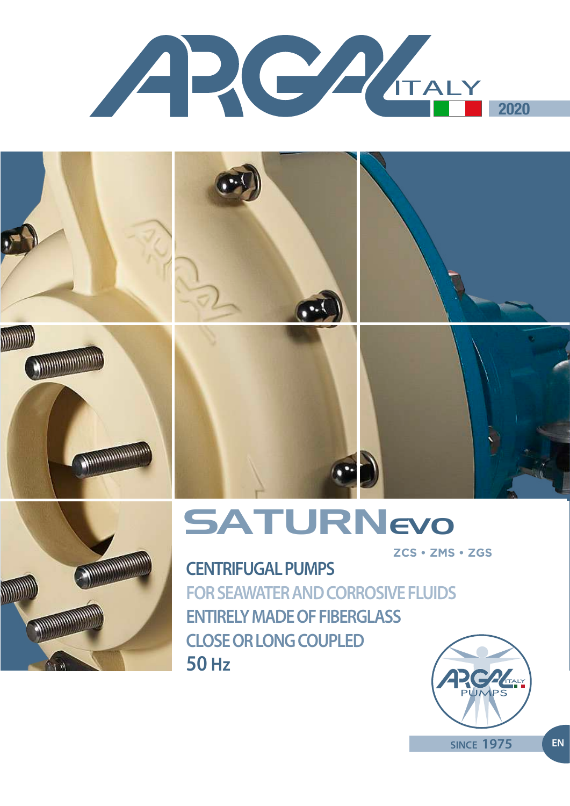













# **SATURNevo**

**ZCS • ZMS • ZGS**

**CENTRIFUGAL PUMPS FOR SEAWATER AND CORROSIVE FLUIDS ENTIRELY MADE OF FIBERGLASS CLOSE OR LONG COUPLED 50 Hz**



**SINCE 1975 EN**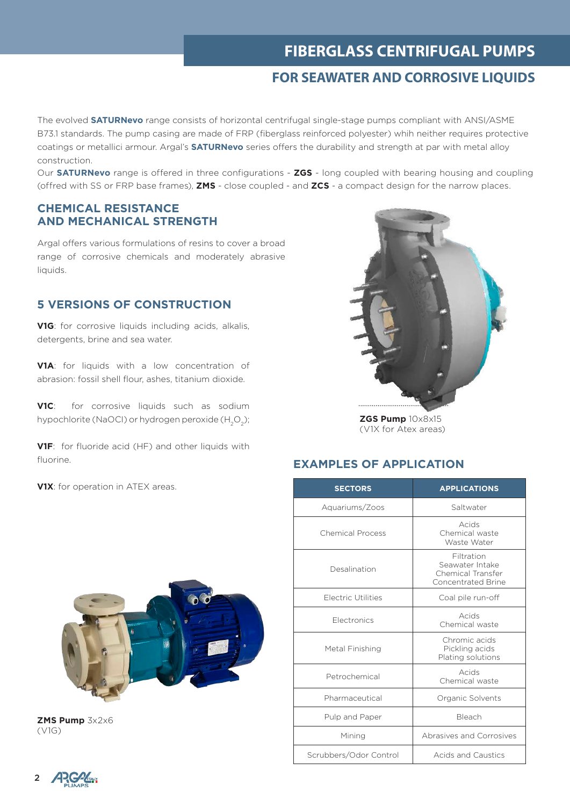### **FIBERGLASS CENTRIFUGAL PUMPS**

### **FOR SEAWATER AND CORROSIVE LIQUIDS**

The evolved **SATURNevo** range consists of horizontal centrifugal single-stage pumps compliant with ANSI/ASME B73.1 standards. The pump casing are made of FRP (fiberglass reinforced polyester) whih neither requires protective coatings or metallici armour. Argal's **SATURNevo** series offers the durability and strength at par with metal alloy construction.

Our **SATURNevo** range is offered in three configurations - **ZGS** - long coupled with bearing housing and coupling (offred with SS or FRP base frames), **ZMS** - close coupled - and **ZCS** - a compact design for the narrow places.

#### **CHEMICAL RESISTANCE AND MECHANICAL STRENGTH**

Argal offers various formulations of resins to cover a broad range of corrosive chemicals and moderately abrasive liquids.

#### **5 VERSIONS OF CONSTRUCTION**

**V1G**: for corrosive liquids including acids, alkalis, detergents, brine and sea water.

**V1A**: for liquids with a low concentration of abrasion: fossil shell flour, ashes, titanium dioxide.

**V1C**: for corrosive liquids such as sodium hypochlorite (NaOCI) or hydrogen peroxide  $(H_2O_2)$ ;

**V1F:** for fluoride acid (HF) and other liquids with fluorine.

**V1X**: for operation in ATEX areas.



**ZMS Pump** 3x2x6 (V1G)



**ZGS Pump** 10x8x15 (V1X for Atex areas)

#### **EXAMPLES OF APPLICATION**

| <b>SECTORS</b>            | <b>APPLICATIONS</b>                                                             |  |  |  |
|---------------------------|---------------------------------------------------------------------------------|--|--|--|
| Aquariums/Zoos            | Saltwater                                                                       |  |  |  |
| <b>Chemical Process</b>   | Acids<br>Chemical waste<br>Waste Water                                          |  |  |  |
| Desalination              | Filtration<br>Seawater Intake<br>Chemical Transfer<br><b>Concentrated Brine</b> |  |  |  |
| <b>Electric Utilities</b> | Coal pile run-off                                                               |  |  |  |
| <b>Electronics</b>        | Acids<br>Chemical waste                                                         |  |  |  |
| Metal Finishing           | Chromic acids<br>Pickling acids<br>Plating solutions                            |  |  |  |
| Petrochemical             | Acids<br>Chemical waste                                                         |  |  |  |
| Pharmaceutical            | Organic Solvents                                                                |  |  |  |
| Pulp and Paper            | Bleach                                                                          |  |  |  |
| Mining                    | Abrasives and Corrosives                                                        |  |  |  |
| Scrubbers/Odor Control    | Acids and Caustics                                                              |  |  |  |

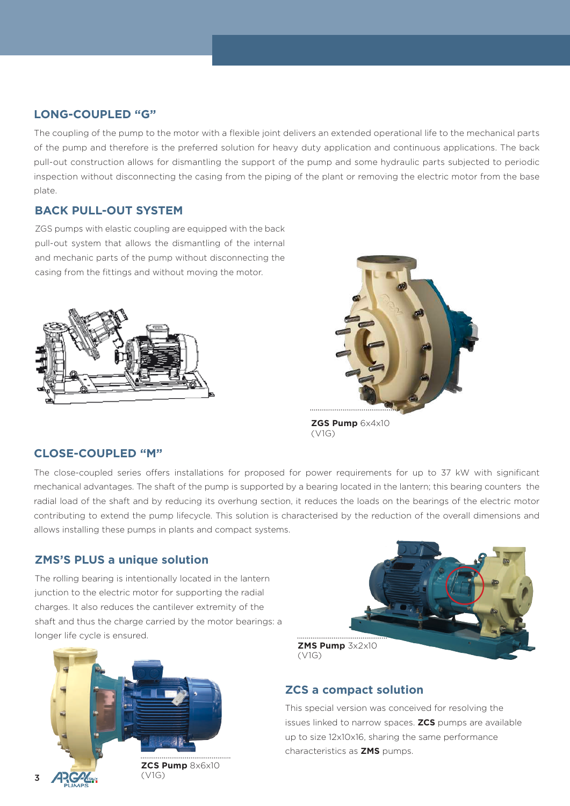### **LONG-COUPLED "G"**

The coupling of the pump to the motor with a flexible joint delivers an extended operational life to the mechanical parts of the pump and therefore is the preferred solution for heavy duty application and continuous applications. The back pull-out construction allows for dismantling the support of the pump and some hydraulic parts subjected to periodic inspection without disconnecting the casing from the piping of the plant or removing the electric motor from the base plate.

### **BACK PULL-OUT SYSTEM**

ZGS pumps with elastic coupling are equipped with the back pull-out system that allows the dismantling of the internal and mechanic parts of the pump without disconnecting the casing from the fittings and without moving the motor.





**ZGS Pump** 6x4x10 (V1G)

### **CLOSE-COUPLED "M"**

The close-coupled series offers installations for proposed for power requirements for up to 37 kW with significant mechanical advantages. The shaft of the pump is supported by a bearing located in the lantern; this bearing counters the radial load of the shaft and by reducing its overhung section, it reduces the loads on the bearings of the electric motor contributing to extend the pump lifecycle. This solution is characterised by the reduction of the overall dimensions and allows installing these pumps in plants and compact systems.

### **ZMS'S PLUS a unique solution**

The rolling bearing is intentionally located in the lantern junction to the electric motor for supporting the radial charges. It also reduces the cantilever extremity of the shaft and thus the charge carried by the motor bearings: a longer life cycle is ensured.





### **ZCS a compact solution**

This special version was conceived for resolving the issues linked to narrow spaces. **ZCS** pumps are available up to size 12x10x16, sharing the same performance characteristics as **ZMS** pumps.

3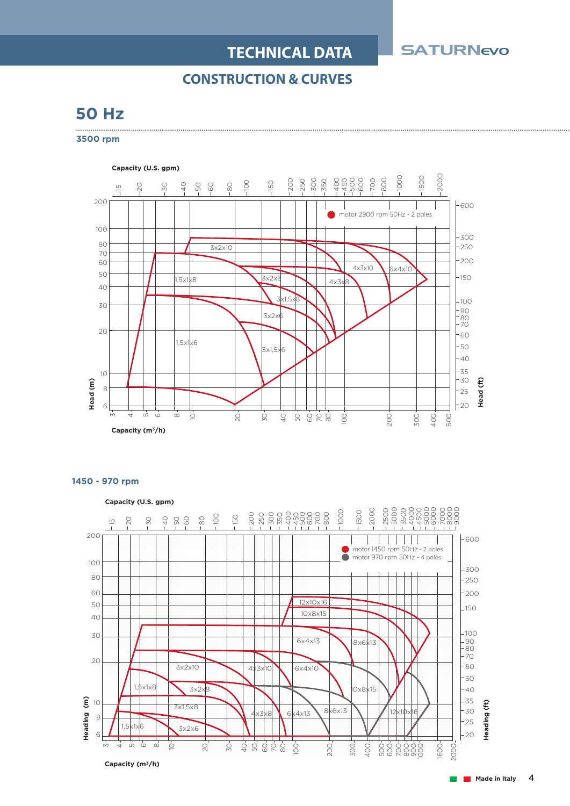### **TECHNICAL DATA**

**SATURNevo** 

### **CONSTRUCTION & CURVES**

### **50 Hz**

**3500 rpm**





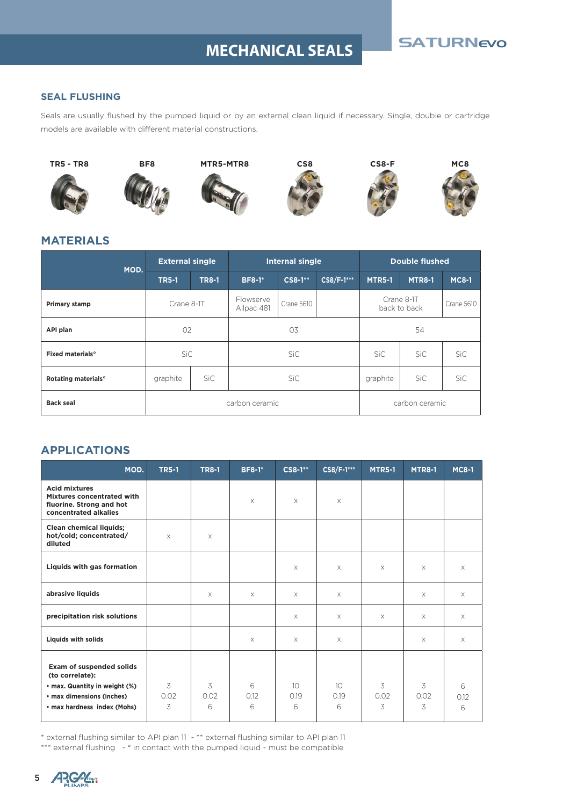## SATURNEVO **MECHANICAL SEALS**

#### **SEAL FLUSHING**

Seals are usually flushed by the pumped liquid or by an external clean liquid if necessary. Single, double or cartridge models are available with different material constructions.



#### **MATERIALS**

| MOD.                               | <b>External single</b> |              | <b>Internal single</b>  |                   |                | <b>Double flushed</b> |                            |                   |
|------------------------------------|------------------------|--------------|-------------------------|-------------------|----------------|-----------------------|----------------------------|-------------------|
|                                    | <b>TR5-1</b>           | <b>TR8-1</b> | <b>BF8-1*</b>           | <b>CS8-1**</b>    | CS8/F-1***     | <b>MTR5-1</b>         | <b>MTR8-1</b>              | <b>MC8-1</b>      |
| Primary stamp                      | Crane 8-1T             |              | Flowserve<br>Allpac 481 | <b>Crane 5610</b> |                |                       | Crane 8-1T<br>back to back | <b>Crane 5610</b> |
| API plan                           | 02                     |              | 03                      |                   | 54             |                       |                            |                   |
| <b>Fixed materials<sup>o</sup></b> | SiC                    |              | SiC                     |                   |                | SiC.                  | SiC                        | <b>SiC</b>        |
| Rotating materials <sup>°</sup>    | graphite               | SiC          | SiC.                    |                   | graphite       | SiC                   | SiC                        |                   |
| <b>Back seal</b>                   | carbon ceramic         |              |                         |                   | carbon ceramic |                       |                            |                   |

### **APPLICATIONS**

| MOD.                                                                                                                                            | <b>TR5-1</b>   | <b>TR8-1</b>   | <b>BF8-1*</b>  | CS8-1**                      | CS8/F-1***                   | <b>MTR5-1</b>  | <b>MTR8-1</b>  | <b>MC8-1</b>   |
|-------------------------------------------------------------------------------------------------------------------------------------------------|----------------|----------------|----------------|------------------------------|------------------------------|----------------|----------------|----------------|
| <b>Acid mixtures</b><br>Mixtures concentrated with<br>fluorine. Strong and hot<br>concentrated alkalies                                         |                |                | $\times$       | X                            | X                            |                |                |                |
| <b>Clean chemical liquids;</b><br>hot/cold; concentrated/<br>diluted                                                                            | $\times$       | $\times$       |                |                              |                              |                |                |                |
| Liquids with gas formation                                                                                                                      |                |                |                | X                            | $\times$                     | $\times$       | $\times$       | $\times$       |
| abrasive liquids                                                                                                                                |                | X              | $\times$       | X                            | $\times$                     |                | $\times$       | $\times$       |
| precipitation risk solutions                                                                                                                    |                |                |                | $\times$                     | $\times$                     | $\times$       | $\times$       | $\times$       |
| <b>Liquids with solids</b>                                                                                                                      |                |                | $\times$       | $\times$                     | $\times$                     |                | $\times$       | $\times$       |
| <b>Exam of suspended solids</b><br>(to correlate):<br>• max. Quantity in weight (%)<br>• max dimensions (inches)<br>• max hardness index (Mohs) | 3<br>0.02<br>3 | 3<br>0.02<br>6 | 6<br>0.12<br>6 | 10 <sup>°</sup><br>0.19<br>6 | 10 <sup>°</sup><br>0.19<br>6 | 3<br>0.02<br>3 | 3<br>0.02<br>3 | 6<br>0.12<br>6 |

\* external flushing similar to API plan 11 - \*\* external flushing similar to API plan 11

\*\*\* external flushing - ° in contact with the pumped liquid - must be compatible